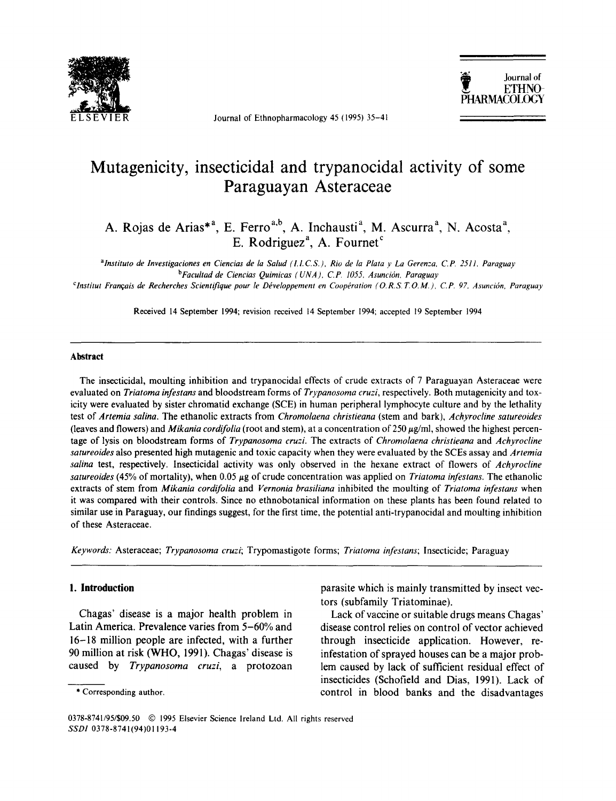

Journal of Ethnopharmacology 45 (1995) 35-41



# **Mutagenicity, insecticidal and trypanocidal activity of some Paraguayan Asteraceae**

A. Rojas de Arias<sup>\*</sup>, E. Ferro ", A. Inchausti", M. Ascurra", N. Acosta", E. Rodriguez<sup>"</sup>, A. Fournet  $\check{\phantom{a}}$ 

*alnstituto de Investigaciones en Ciencias de la Salud (LLC.S.), Rio de la Plata y La Geren:a, C.P. 2511, Paraguay*  <sup>b</sup>Facultad de Ciencias Quimicas ( UNA ), C.P. 1055, Asunción, Paraguay <sup>c</sup>Institut Français de Recherches Scientifique pour le Développement en Coopération (O.R.S.T.O.M.), C.P. 97, Asunción, Paraguay

Received 14 September 1994; revision received 14 September 1994; accepted 19 September 1994

#### **Abstract**

The insecticidal, moulting inhibition and trypanocidal effects of crude extracts of 7 Paraguayan Asteraceae were evaluated on *Triatoma infestans* and bloodstream forms of *Trypanosoma cruzi,* respectively. Both mutagenicity and toxicity were evaluated by sister chromatid exchange (SCE) in human peripheral lymphocyte culture and by the lethality test of *Artemia salina.* The ethanolic extracts from *Chromolaena christieana* (stem and bark), *Achyrocline satureoides*  (leaves and flowers) and *Mikania cordifolia* (root and stem), at a concentration of 250 gg/ml, showed the highest percentage of lysis on bloodstream forms of *Trypanosoma cruzi.* The extracts of *Chromolaena christieana* and *Achyrocline satureoides* also presented high mutagenic and toxic capacity when they were evaluated by the SCEs assay and *Artemia salina* test, respectively. Insecticidal activity was only observed in the hexane extract of flowers of *Achyrocline satureoides* (45% of mortality), when 0.05 gg of crude concentration was applied on *Triatoma infestans.* The ethanolic extracts of stem from *Mikania cordifolia* and *Vernonia brasiliana* inhibited the moulting of *Triatoma infestans* when it was compared with their controls. Since no ethnobotanical information on these plants has been found related to similar use in Paraguay, our findings suggest, for the first time, the potential anti-trypanocidal and moulting inhibition of these Asteraceae.

*Keywords:* Asteraceae; *Trypanosoma cruzi;* Trypomastigote forms; *Triatoma infestans;* Insecticide; Paraguay

## **1. Introduction**

Chagas' disease is a major health problem in Latin America. Prevalence varies from 5-60% and 16-18 million people are infected, with a further 90 million at risk (WHO, 1991). Chagas' disease is caused by *Trypanosoma cruzi,* a protozoan parasite which is mainly transmitted by insect vectors (subfamily Triatominae).

Lack of vaccine or suitable drugs means Chagas' disease control relies on control of vector achieved through insecticide application. However, reinfestation of sprayed houses can be a major problem caused by lack of sufficient residual effect of insecticides (Schofield and Dias, 1991). Lack of control in blood banks and the disadvantages

<sup>\*</sup> Corresponding author.

<sup>0378-8741/95/\$09.50 © 1995</sup> Elsevier Science Ireland Ltd. All rights reserved *SSDI* 0378-8741(94)01193-4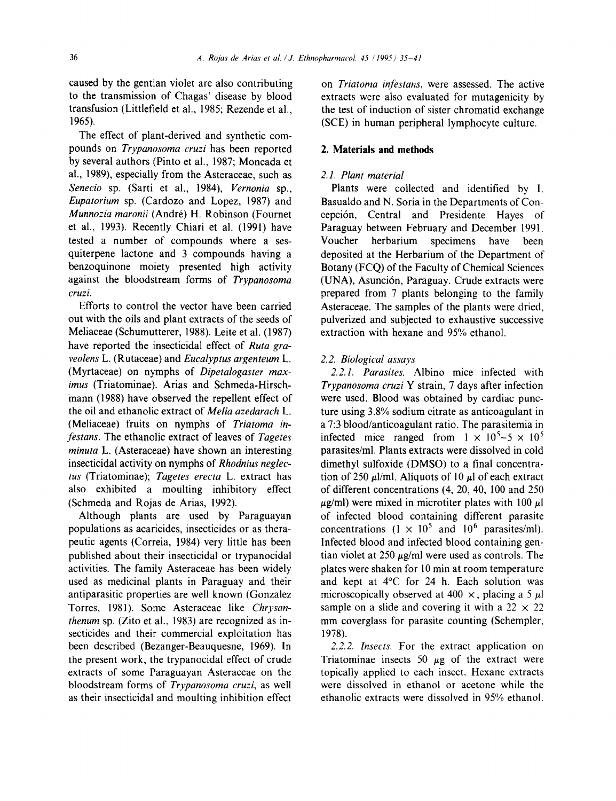caused by the gentian violet are also contributing to the transmission of Chagas' disease by blood transfusion (Littlefield et al., 1985; Rezende et al., 1965).

The effect of plant-derived and synthetic compounds on *Trypanosoma cruzi* has been reported by several authors (Pinto et al., 1987; Moncada et al., 1989), especially from the Asteraceae, such as *Senecio* sp. (Sarti et al., 1984), *Vernonia* sp., *Eupatorium* sp. (Cardozo and Lopez, 1987) and *Munnozia maronii* (Andr6) H. Robinson (Fournet et al., 1993). Recently Chiari et al. (1991) have tested a number of compounds where a sesquiterpene lactone and 3 compounds having a benzoquinone moiety presented high activity against the bloodstream forms of *Trypanosoma cruzi.* 

Efforts to control the vector have been carried out with the oils and plant extracts of the seeds of Meliaceae (Schumutterer, 1988). Leite et al. (1987) have reported the insecticidal effect of *Ruta graveolens* L. (Rutaceae) and *Eucalyptus argenteum L.*  (Myrtaceae) on nymphs of *Dipetalogaster maximus* (Triatominae). Arias and Schmeda-Hirschmann (1988) have observed the repellent effect of the oil and ethanolic extract of *Melia azedarach L.*  (Meliaceae) fruits on nymphs of *Triatoma infestans.* The ethanolic extract of leaves of *Tagetes minuta* L. (Asteraceae) have shown an interesting insecticidal activity on nymphs of *Rhodnius neglectus* (Triatominae); *Tagetes erecta* L. extract has also exhibited a moulting inhibitory effect (Schmeda and Rojas de Arias, 1992).

Although plants are used by Paraguayan populations as acaricides, insecticides or as therapeutic agents (Correia, 1984) very little has been published about their insecticidal or trypanocidal activities. The family Asteraceae has been widely used as medicinal plants in Paraguay and their antiparasitic properties are well known (Gonzalez Torres, 1981). Some Asteraceae like *Chrysanthenum* sp. (Zito et al., 1983) are recognized as insecticides and their commercial exploitation has been described (Bezanger-Beauquesne, 1969). In the present work, the trypanocidal effect of crude extracts of some Paraguayan Asteraceae on the bloodstream forms of *Trypanosoma cruzi,* as well as their insecticidal and moulting inhibition effect on *Triatoma infestans,* were assessed. The active extracts were also evaluated for mutagenicity by the test of induction of sister chromatid exchange (SCE) in human peripheral lymphocyte culture.

## **2. Materials and methods**

# *2.1. Plant material*

Plants were collected and identified by I. Basualdo and N. Soria in the Departments of Concepci6n, Central and Presidente Hayes of Paraguay between February and December 1991. Voucher herbarium specimens have been deposited at the Herbarium of the Department of Botany (FCQ) of the Faculty of Chemical Sciences (UNA), Asunción, Paraguay. Crude extracts were prepared from 7 plants belonging to the family Asteraceae. The samples of the plants were dried, pulverized and subjected to exhaustive successive extraction with hexane and 95% ethanol.

## *2.2. Biological assays*

*2.2.1. Parasites.* Albino mice infected with *Trypanosoma cruzi* Y strain, 7 days after infection were used. Blood was obtained by cardiac puncture using 3.8% sodium citrate as anticoagulant in a 7:3 blood/anticoagulant ratio. The parasitemia in infected mice ranged from  $1 \times 10^5 - 5 \times 10^5$ parasites/ml. Plants extracts were dissolved in cold dimethyl sulfoxide (DMSO) to a final concentration of 250  $\mu$ l/ml. Aliquots of 10  $\mu$ l of each extract of different concentrations (4, 20, 40, 100 and 250  $\mu$ g/ml) were mixed in microtiter plates with 100  $\mu$ l of infected blood containing different parasite concentrations  $(1 \times 10^5 \text{ and } 10^6 \text{ parasites/ml})$ . Infected blood and infected blood containing gentian violet at 250  $\mu$ g/ml were used as controls. The plates were shaken for 10 min at room temperature and kept at 4°C for 24 h. Each solution was microscopically observed at 400  $\times$ , placing a 5  $\mu$ l sample on a slide and covering it with a  $22 \times 22$ mm coverglass for parasite counting (Schempler, 1978).

*2.2.2. Insects.* For the extract application on Triatominae insects 50  $\mu$ g of the extract were topically applied to each insect. Hexane extracts were dissolved in ethanol or acetone while the ethanolic extracts were dissolved in 95% ethanol.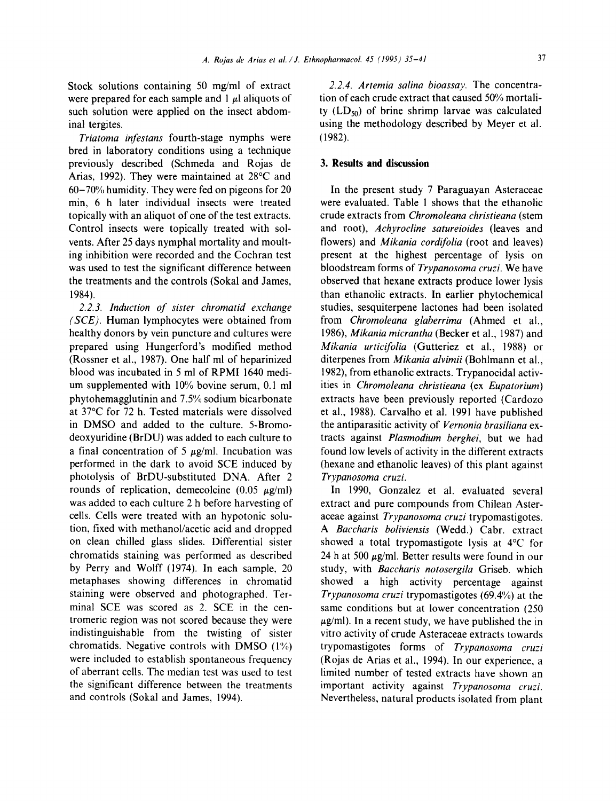Stock solutions containing 50 mg/ml of extract were prepared for each sample and  $1 \mu$ l aliquots of such solution were applied on the insect abdominal tergites.

*Triatoma infestans* fourth-stage nymphs were bred in laboratory conditions using a technique previously described (Schmeda and Rojas de Arias, 1992). They were maintained at 28°C and 60-70% humidity. They were fed on pigeons for 20 min, 6 h later individual insects were treated topically with an aliquot of one of the test extracts. Control insects were topically treated with solvents. After 25 days nymphal mortality and moulting inhibition were recorded and the Cochran test was used to test the significant difference between the treatments and the controls (Sokal and James, 1984).

*2.2.3. Induction of sister chromatid exchange (SCE).* Human lymphocytes were obtained from healthy donors by vein puncture and cultures were prepared using Hungerford's modified method (Rossner et al., 1987). One half ml of heparinized blood was incubated in 5 ml of RPMI 1640 medium supplemented with 10% bovine serum, 0.1 ml phytohemagglutinin and 7.5% sodium bicarbonate at 37°C for 72 h. Tested materials were dissolved in DMSO and added to the culture. 5-Bromodeoxyuridine (BrDU) was added to each culture to a final concentration of 5  $\mu$ g/ml. Incubation was performed in the dark to avoid SCE induced by photolysis of BrDU-substituted DNA. After 2 rounds of replication, demecolcine  $(0.05 \mu g/ml)$ was added to each culture 2 h before harvesting of cells. Cells were treated with an hypotonic solution, fixed with methanol/acetic acid and dropped on clean chilled glass slides. Differential sister chromatids staining was performed as described by Perry and Wolff (1974). In each sample, 20 metaphases showing differences in chromatid staining were observed and photographed. Terminal SCE was scored as 2. SCE in the centromeric region was not scored because they were indistinguishable from the twisting of sister chromatids. Negative controls with DMSO (1%) were included to establish spontaneous frequency of aberrant cells. The median test was used to test the significant difference between the treatments and controls (Sokal and James, 1994).

2.2.4. Artemia salina bioassay. The concentration of each crude extract that caused 50% mortality  $(LD_{50})$  of brine shrimp larvae was calculated using the methodology described by Meyer et al. (1982).

## **3. Results and discussion**

In the present study 7 Paraguayan Asteraceae were evaluated. Table 1 shows that the ethanolic crude extracts from *Chromoleana christieana* (stem and root), *Achyroeline satureioides* (leaves and flowers) and *Mikania cordifolia* (root and leaves) present at the highest percentage of lysis on bloodstream forms of *Trypanosoma cruzi.* We have observed that hexane extracts produce lower lysis than ethanolic extracts. In earlier phytochemical studies, sesquiterpene lactones had been isolated from *Chromoleana glaberrima* (Ahmed et al., 1986), *Mikania micrantha* (Becker et al., 1987) and *Mikania urticifolia* (Gutteriez et al., 1988) or diterpenes from *Mikania alvimii* (Bohlmann et al., 1982), from ethanolic extracts. Trypanocidal activities in *Chromoleana christieana* (ex *Eupatorium)*  extracts have been previously reported (Cardozo et al., 1988). Carvalho et al. 1991 have published the antiparasitic activity of *Vernonia brasiliana* extracts against *Plasmodium berghei,* but we had found low levels of activity in the different extracts (hexane and ethanolic leaves) of this plant against *Trypanosoma cruzi.* 

In 1990, Gonzalez et al. evaluated several extract and pure compounds from Chilean Asteraceae against *Trypanosoma eruzi* trypomastigotes. *A Baccharis boliviensis* (Wedd.) Cabr. extract showed a total trypomastigote lysis at 4°C for 24 h at 500  $\mu$ g/ml. Better results were found in our study, with *Baceharis notosergila* Griseb. which showed a high activity percentage against *Trypanosoma cruzi* trypomastigotes (69.4%) at the same conditions but at lower concentration (250  $\mu$ g/ml). In a recent study, we have published the in vitro activity of crude Asteraceae extracts towards trypomastigotes forms of *Trypanosoma cruzi*  (Rojas de Arias et al., 1994). In our experience, a limited number of tested extracts have shown an important activity against *Trypanosoma cruzi.*  Nevertheless, natural products isolated from plant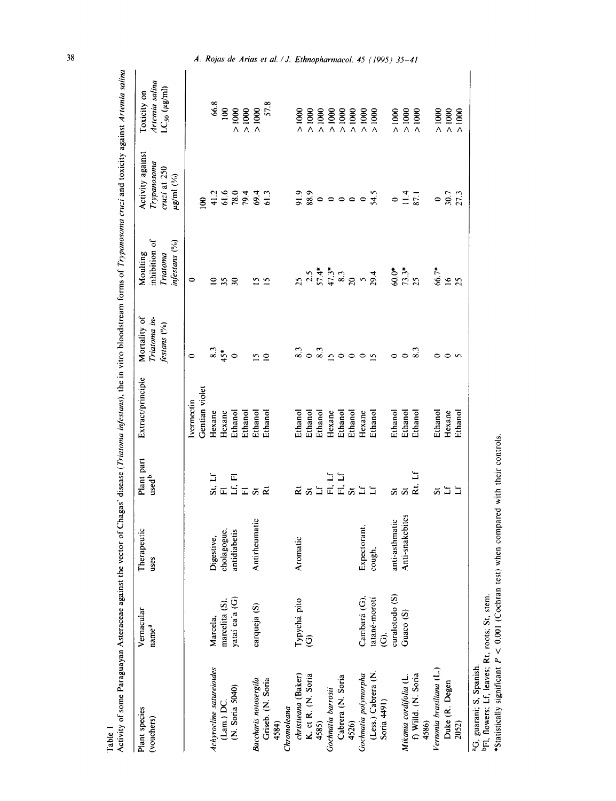| Plant species<br>(vouchers)       | Vernacular<br>name <sup>a</sup> | Therapeutic<br>uses       | Plant part<br>used <sup>b</sup> | Extract/principle | Mortality of<br>Triatoma in-<br>festans (%) | inhibition of<br>infestans (%)<br>Moulting<br>Triatoma                                                                                                                                                        | Activity against<br>Trypanosoma<br>cruzi at 250<br>$\mu$ g/ml $(^{9/6})$  | Artemia salina<br>$LC_{50} (\mu g/m)$<br>Toxicity on |
|-----------------------------------|---------------------------------|---------------------------|---------------------------------|-------------------|---------------------------------------------|---------------------------------------------------------------------------------------------------------------------------------------------------------------------------------------------------------------|---------------------------------------------------------------------------|------------------------------------------------------|
|                                   |                                 |                           |                                 | lvermectin        | $\bullet$                                   | $\circ$                                                                                                                                                                                                       |                                                                           |                                                      |
|                                   |                                 |                           |                                 | Gentian violet    |                                             |                                                                                                                                                                                                               | 8                                                                         |                                                      |
| Achyrocline satureioides          | Marcela,                        | Digestive,<br>cholagogue, |                                 | Hexane            |                                             |                                                                                                                                                                                                               |                                                                           | $\frac{66.8}{100}$                                   |
| (Lam.) DC.                        | marcelita (S),                  |                           |                                 | Hexane            |                                             | 25                                                                                                                                                                                                            |                                                                           |                                                      |
| (N. Soria 5040)                   | yataí ca'a (G)                  | antidiabetis              | ក<br>ដូច<br>ស្រុក               | Ethanol           | $rac{83}{45}$                               | 30                                                                                                                                                                                                            | $1.60440$<br>$1.60440$<br>$1.60440$                                       | > 1000                                               |
|                                   |                                 |                           |                                 | Ethanol           |                                             |                                                                                                                                                                                                               |                                                                           | > 1000                                               |
| Baccharis notosergila             | carqueja (S)                    | Antirheumatic             |                                 | Ethanol           |                                             |                                                                                                                                                                                                               |                                                                           | > 1000                                               |
| Griseb. (N. Soria<br>4584)        |                                 |                           |                                 | Ethanol           | $\frac{5}{10}$                              | <b>S 5</b>                                                                                                                                                                                                    |                                                                           | 57.8                                                 |
| Chromoleana                       |                                 |                           |                                 |                   |                                             |                                                                                                                                                                                                               |                                                                           |                                                      |
| christieana (Baker)               | Typychá pito                    | Aromatic                  |                                 | Ethanol           | 8.3                                         |                                                                                                                                                                                                               |                                                                           | $\frac{8}{1000}$                                     |
| K. et R. (N. Soria                | $\widehat{\mathcal{O}}$         |                           | <b>ដ ឆ ដ</b>                    | Ethanol           | $\circ$                                     |                                                                                                                                                                                                               |                                                                           | $\frac{8}{1000}$                                     |
| 4585)                             |                                 |                           |                                 | Ethanol           | $\frac{8}{3}$                               |                                                                                                                                                                                                               |                                                                           | $\geq 1000$                                          |
| Gochnatia barrosii                |                                 |                           |                                 | Hexane            | $\Omega$                                    |                                                                                                                                                                                                               |                                                                           | > 1000                                               |
| Cabrera (N. Soria                 |                                 |                           | មិ<br>មិដ្ឋ<br>ដូ               | Ethanol           | $\circ$                                     |                                                                                                                                                                                                               |                                                                           | > 1000                                               |
| 4526)                             |                                 |                           |                                 | Ethanol           | $\circ$                                     |                                                                                                                                                                                                               |                                                                           | > 1000                                               |
| Gochnatia polymorpha              | Cambará (G).                    | Expectorant.              | $\Xi \Sigma$                    | Hexane            | $\circ$                                     |                                                                                                                                                                                                               |                                                                           | > 1000                                               |
| (Less.) Cabrera (N<br>Soria 4491) | tatané-morotí<br>$\hat{c}$      | cough,                    |                                 | Ethanol           | $\mathbf{c}$                                | $25$<br>$25$<br>$7$<br>$7$<br>$7$<br>$7$<br>$7$<br>$7$<br>$8$<br>$7$<br>$7$<br>$9$<br>$7$<br>$7$<br>$7$<br>$7$<br>$8$<br>$7$<br>$7$<br>$7$<br>$8$<br>$7$<br>$7$<br>$7$<br>$7$<br>$8$<br>$7$<br>$7$<br>$7$<br> | $\frac{5}{5}$ $\frac{3}{8}$ $\circ$ $\circ$ $\circ$ $\circ$ $\frac{5}{3}$ | $\frac{8}{1000}$                                     |
|                                   | curalotodo <sub>(S)</sub>       | anti-asthmatic            |                                 | Ethanol           |                                             | $60.0*$                                                                                                                                                                                                       | $\bullet$                                                                 | $\frac{8}{1000}$                                     |
| Mikania cordifolia (L.            | Guaco (S)                       | Anti-snakebites           | ភ ភ                             | Ethano            | $\bullet$                                   |                                                                                                                                                                                                               |                                                                           | > 1000                                               |
| f) Willd. (N. Soria<br>4586)      |                                 |                           | Rt.                             | Ethanol           |                                             | $73.3*$                                                                                                                                                                                                       | $11.4$<br>87.1                                                            | $\frac{8}{1000}$                                     |
| Vernonia brasiliana (L.)          |                                 |                           |                                 | Ethanol           | 0                                           | 66.7*                                                                                                                                                                                                         |                                                                           | $\frac{8}{1000}$                                     |
| Duke (R. Degen                    |                                 |                           | ដដ                              | Hexane            | $\circ$                                     | $\leq$                                                                                                                                                                                                        | $\frac{0}{30.7}$                                                          | > 1000                                               |
| 2052)                             |                                 |                           |                                 | Ethanol           |                                             | $\overline{25}$                                                                                                                                                                                               |                                                                           | $\frac{8}{4}$                                        |
| ن<br>د<br>Ş                       |                                 |                           |                                 |                   |                                             |                                                                                                                                                                                                               |                                                                           |                                                      |

Table 1<br>Activity of some Paraguayan Asteraceae against the vector of Chagas' disease (*Triatoma*), the in vitro bloodstream forms of *Trypanosoma cruzi* and toxicity against Artemia salina

 $^{4}G$ , guarani; S, Spanish.<br>
<sup>b</sup>Fl, flowers; Lf, leaves; Rt, roots; St, stem.<br>
\*Statistically significant  $P < 0.001$  (Cochran test) when compared with their controls.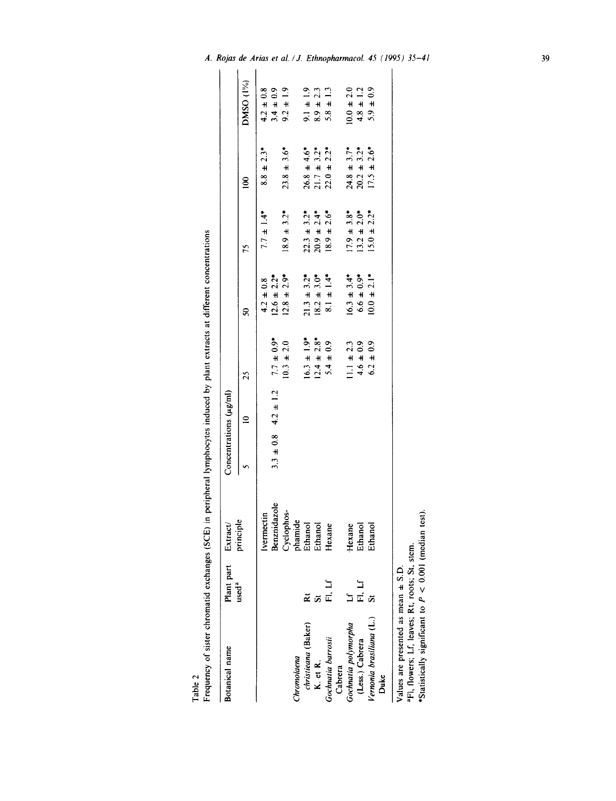Table 2<br>Frequency of sister chromatid exchanges (SCE) in peripheral lymphocytes induced by plant extracts at different concentrations

| Botanical name                                           | Plant part        | Extract/    | Concentrations $(\mu g/\text{m})$ |                             |                             |                                 |                                      |                             |                |
|----------------------------------------------------------|-------------------|-------------|-----------------------------------|-----------------------------|-----------------------------|---------------------------------|--------------------------------------|-----------------------------|----------------|
|                                                          | used <sup>a</sup> | principle   |                                   | $\approx$                   | 25                          | S                               | 75                                   | $\mathbf{S}$                | DMSO (1%)      |
|                                                          |                   | Ivermectin  |                                   |                             |                             | $4.2 \pm 0.8$                   | $7.7 \pm 1.4$ <sup>*</sup>           | $2.3*$<br>$8.8 +$           | $4.2 \pm 0.8$  |
|                                                          |                   | enznidazole |                                   | $3.3 \pm 0.8$ 4.2 $\pm$ 1.2 | $7.7 \pm 0.9$ *             | $12.6 \pm 2.2$ <sup>*</sup>     |                                      |                             | $3.4 \pm 0.9$  |
|                                                          |                   | Cyclophos-  |                                   |                             | $10.3 \pm 2.0$              | $12.8 \pm 2.9*$                 | $8.9 \pm 3.2$ *                      | $23.8 \pm 3.6*$             | $9.2 \pm 1.9$  |
| Chromolaena                                              |                   | hamide      |                                   |                             |                             |                                 |                                      |                             |                |
| christieana (Baker)                                      |                   | Ethanol     |                                   |                             | $16.3 \pm 1.9$ <sup>*</sup> |                                 |                                      | $26.8 \pm 4.6^*$            | $9.1 \pm 1.9$  |
| K. et R.                                                 |                   | thanol      |                                   |                             | $12.4 \pm 2.8$ *            | $21.3 \pm 3.2^*$<br>18.2 ± 3.0* | $22.3 \pm 3.2^*$<br>$20.9 \pm 2.4^*$ | $3.2*$<br>$21.7 \pm$        | $8.9 \pm 2.3$  |
| Gochnatia barrosii                                       | נן<br>ה           | exane       |                                   |                             | $5.4 \pm 0.9$               | $8.1 \pm 1.4$ <sup>*</sup>      | $18.9 \pm 2.6*$                      | $22.0 \pm 2.2$ <sup>*</sup> | $5.8 \pm 1.3$  |
| Cabrera                                                  |                   |             |                                   |                             |                             |                                 |                                      |                             |                |
| Gochnatia polymorpha                                     |                   | lexane<br>∓ |                                   |                             | $11.1 \pm 2.3$              | $16.3 \pm 3.4*$                 | $17.9 \pm 3.8$ *                     | $24.8 \pm 3.7*$             | $10.0 \pm 2.0$ |
| (Less.) Cabrera                                          | Fl. Lf            | Ethanol     |                                   |                             | $4.6 \pm 0.9$               | $6.6 \pm 0.9$ *                 | $13.2 \pm 2.0*$                      | $3.2*$<br>$20.2 \pm 1$      | $4.8 \pm 1.2$  |
| Vernonia brasiliana (L.)                                 |                   | Ethanol     |                                   |                             | $6.2 \pm 0.9$               | $10.0 \pm 2.1$ *                | $15.0 \pm 2.2^*$                     | $17.5 \pm 2.6$ <sup>*</sup> | $5.9 \pm 0.9$  |
| <b>Duke</b>                                              |                   |             |                                   |                             |                             |                                 |                                      |                             |                |
| Values are presented as mean $\pm$ S.D.                  |                   |             |                                   |                             |                             |                                 |                                      |                             |                |
| aFl, flowers; Lf, leaves; Rt, roots; St, stem.           |                   |             |                                   |                             |                             |                                 |                                      |                             |                |
| *Statistically significant to $P < 0.001$ (median test). |                   |             |                                   |                             |                             |                                 |                                      |                             |                |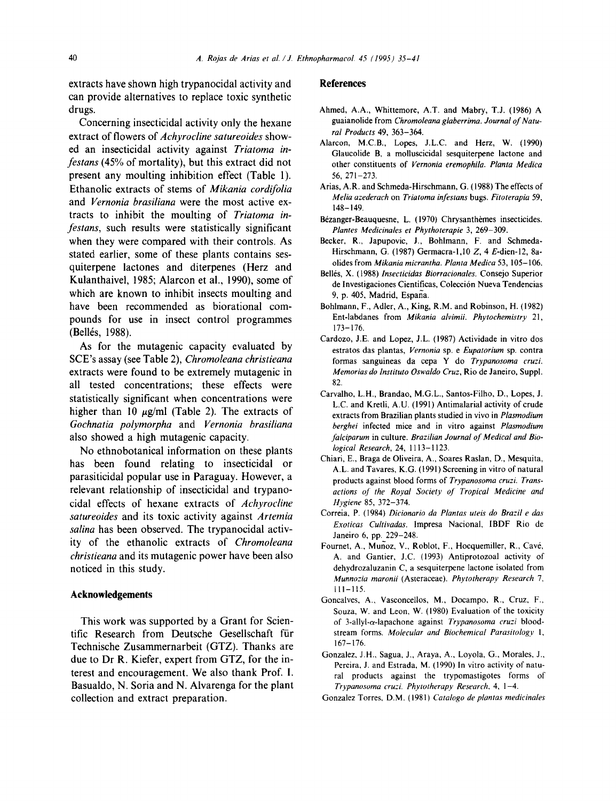extracts have shown high trypanocidal activity and can provide alternatives to replace toxic synthetic drugs.

Concerning insecticidal activity only the hexane extract of flowers of *Achyrocline satureoides* showed an insecticidal activity against *Triatoma infestans* (45% of mortality), but this extract did not present any moulting inhibition effect (Table 1). Ethanolic extracts of stems of *Mikania cordifolia*  and *Vernonia brasiliana* were the most active extracts to inhibit the moulting of *Triatoma infestans,* such results were statistically significant when they were compared with their controls. As stated earlier, some of these plants contains sesquiterpene lactones and diterpenes (Herz and Kulanthaivel, 1985; Alarcon et ai., 1990), some of which are known to inhibit insects moulting and have been recommended as biorational compounds for use in insect control programmes (Bellés, 1988).

As for the mutagenic capacity evaluated by SCE's assay (see Table 2), *Chromoleana christieana*  extracts were found to be extremely mutagenic in all tested concentrations; these effects were statistically significant when concentrations were higher than 10  $\mu$ g/ml (Table 2). The extracts of *Gochnatia polymorpha* and *Vernonia brasiliana*  also showed a high mutagenic capacity.

No ethnobotanical information on these plants has been found relating to insecticidal or parasiticidal popular use in Paraguay. However, a relevant relationship of insecticidal and trypanocidal effects of hexane extracts of *Achyrocline satureoides* and its toxic activity against *Artemia salina* has been observed. The trypanocidal activity of the ethanolic extracts of *Chromoleana christieana* and its mutagenic power have been also noticed in this study.

## **Acknowledgements**

**This work was supported by a Grant for Scien**tific Research from Deutsche Gesellschaft für **Technische Zusammernarbeit (GTZ). Thanks are due to Dr R. Kiefer, expert from GTZ, for the interest and encouragement. We also thank Prof. I. Basualdo, N. Soria and N. Alvarenga for the plant collection and extract preparation.** 

## **References**

- Ahmed, A.A., Whittemore, A.T. and Mabry, T.J. (1986) A guaianolide from *Chromoleana glaberrima. Journal of Natural Products* 49, 363-364.
- Alarcon, M.C.B., Lopes, J.L.C. and Herz, W. (1990) Glaucolide B, a molluscicidal sesquiterpene lactone and other constituents of *Vernonia eremophila*. Planta Medica 56, 271-273.
- Arias, A.R. and Schmeda-Hirschmann, G. (1988) The effects of *Melia azederach* on *Triatoma infestans* bugs. *Fitoterapia* 59, 148-149.
- Bézanger-Beauquesne, L. (1970) Chrysanthèmes insecticides. *Plantes Medicinales et Phythoterapie* 3, 269-309.
- Becker, R., Japupovic, J., Bohlmann, F. and Schmeda-Hirschmann, G. (1987) Germacra-1,10 Z, 4 E-dien-12, 8aolides from *Mikania micrantha. Planta Medica* 53, 105-106.
- Bellés, X. (1988) *Insecticidas Biorracionales*. Consejo Superior de Investigaciones Científicas, Colección Nueva Tendencias 9, p. 405, Madrid, Espana.
- Bohlmann, F., Adler, A., King, R.M. and Robinson, H. (1982) Ent-labdanes from *Mikania alvimii. Phytochemistry* 21, 173-176.
- Cardozo, J.E. and Lopez, J.L. (1987) Actividade in vitro dos estratos das plantas, *Vernonia* sp. e *Eupatorium* sp. contra formas sanguineas da cepa Y do *Trypanosoma cruzi. Memorias do lnstituto Oswaldo Cruz,* Rio de Janeiro, Suppl. 82.
- Carvalho, L.H., Brandao, M.G.L., Santos-Filho, D., Lopes, J. L.C. and Kretli, A.U. (1991) Antimalarial activity of crude extracts from Brazilian plants studied in vivo in *Plasmodium berghei* infected mice and in vitro against *Plasmodium falciparum* in culture. *Brazilian Journal of Medical and Biological Research,* 24, I 113-1123.
- Chiari, E., Braga de Oliveira, A., Soares Raslan, D, Mesquita, A.L. and Tavares, K.G. (1991) Screening in vitro of natural products against blood forms of *Trypanosoma cruzi. Transactions of the Royal Society of Tropical Medicine and Hygiene* 85, 372-374.
- Correia, P. 0984) *Dicionario da Plantas uteis do Brazil e das Exoticas Cultivadas.* lmpresa Nacional, IBDF Rio de Janeiro 6, pp. 229-248.
- Fournet, A., Munoz, V., Roblot, F., Hocquemiller, R., Cav6, A. and Gantier, J.C. (1993) Antiprotozoal activity of dehydrozaluzanin C, a sesquiterpene lactone isolated from *Munnozia maronii* (Asteraceae). *Phytotherapy Research* 7, |11-115.
- Goncalves, A., Vasconcellos, M., Docampo, R., Cruz, F., Souza, W. and Leon, W. (1980) Evaluation of the toxicity of 3-allyl-a-lapachone against *Trypanosoma cruzi* bloodstream forms. *Molecular and Biochemical Parasitology* I, 167-176.
- Gonzalez, J.H., Sagua, J., Araya, A., Loyola, G., Morales, J., Pereira, J. and Estrada, M. (1990) In vitro activity of natural products against the trypomastigotes forms of *Trypanosoma cruzi. Phytotherapy Research,* 4, 1-4.
- Gonzalez Torres, D.M. (1981) *Catalogo de plantas medicinales*